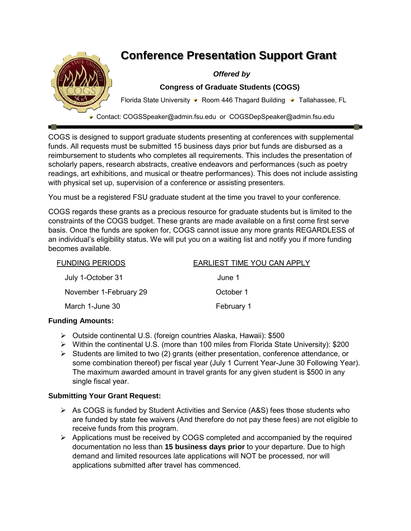

COGS is designed to support graduate students presenting at conferences with supplemental funds. All requests must be submitted 15 business days prior but funds are disbursed as a reimbursement to students who completes all requirements. This includes the presentation of scholarly papers, research abstracts, creative endeavors and performances (such as poetry readings, art exhibitions, and musical or theatre performances). This does not include assisting with physical set up, supervision of a conference or assisting presenters.

You must be a registered FSU graduate student at the time you travel to your conference.

COGS regards these grants as a precious resource for graduate students but is limited to the constraints of the COGS budget. These grants are made available on a first come first serve basis. Once the funds are spoken for, COGS cannot issue any more grants REGARDLESS of an individual's eligibility status. We will put you on a waiting list and notify you if more funding becomes available.

| <b>FUNDING PERIODS</b> | EARLIEST TIME YOU CAN APPLY |
|------------------------|-----------------------------|
| July 1-October 31      | June 1                      |
| November 1-February 29 | October 1                   |
| March 1-June 30        | February 1                  |

# **Funding Amounts:**

- Outside continental U.S. (foreign countries Alaska, Hawaii): \$500
- Within the continental U.S. (more than 100 miles from Florida State University): \$200
- $\triangleright$  Students are limited to two (2) grants (either presentation, conference attendance, or some combination thereof) per fiscal year (July 1 Current Year-June 30 Following Year). The maximum awarded amount in travel grants for any given student is \$500 in any single fiscal year.

### **Submitting Your Grant Request:**

- $\triangleright$  As COGS is funded by Student Activities and Service (A&S) fees those students who are funded by state fee waivers (And therefore do not pay these fees) are not eligible to receive funds from this program.
- $\triangleright$  Applications must be received by COGS completed and accompanied by the required documentation no less than **15 business days prior** to your departure. Due to high demand and limited resources late applications will NOT be processed, nor will applications submitted after travel has commenced.